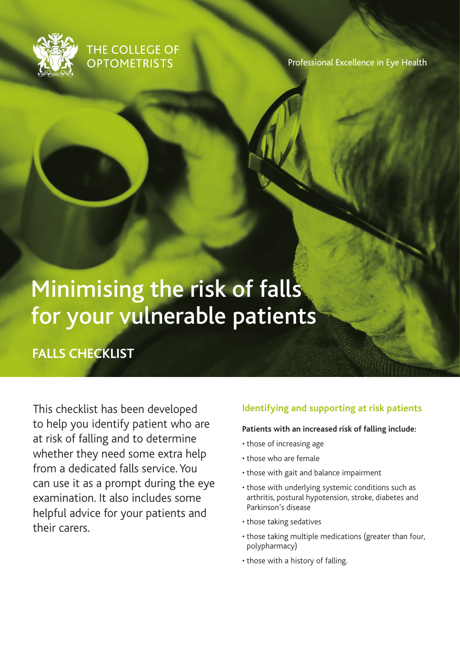

## THE COLLEGE OF **OPTOMETRISTS**

Professional Excellence in Eye Health

# Minimising the risk of falls for your vulnerable patients

**FALLS CHECKLIST**

This checklist has been developed to help you identify patient who are at risk of falling and to determine whether they need some extra help from a dedicated falls service. You can use it as a prompt during the eye examination. It also includes some helpful advice for your patients and their carers.

### **Identifying and supporting at risk patients**

#### **Patients with an increased risk of falling include:**

- those of increasing age
- those who are female
- those with gait and balance impairment
- those with underlying systemic conditions such as arthritis, postural hypotension, stroke, diabetes and Parkinson's disease
- those taking sedatives
- those taking multiple medications (greater than four, polypharmacy)
- those with a history of falling.